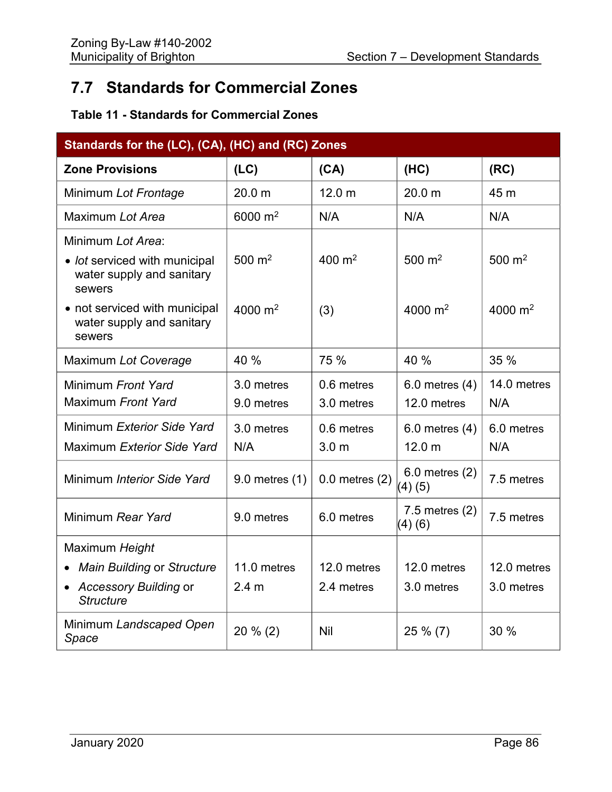## **7.7 Standards for Commercial Zones**

## **Table 11 - Standards for Commercial Zones**

| Standards for the (LC), (CA), (HC) and (RC) Zones                    |                   |                    |                              |                     |
|----------------------------------------------------------------------|-------------------|--------------------|------------------------------|---------------------|
| <b>Zone Provisions</b>                                               | (LC)              | (CA)               | (HC)                         | (RC)                |
| Minimum Lot Frontage                                                 | 20.0 <sub>m</sub> | 12.0 <sub>m</sub>  | 20.0 <sub>m</sub>            | 45 m                |
| Maximum Lot Area                                                     | 6000 $m2$         | N/A                | N/A                          | N/A                 |
| Minimum Lot Area:                                                    |                   |                    |                              |                     |
| • lot serviced with municipal<br>water supply and sanitary<br>sewers | 500 $m2$          | 400 $m2$           | 500 $m2$                     | $500 \; \text{m}^2$ |
| • not serviced with municipal<br>water supply and sanitary<br>sewers | 4000 $m2$         | (3)                | 4000 $m2$                    | 4000 $m2$           |
| Maximum Lot Coverage                                                 | 40 %              | 75 %               | 40 %                         | 35 %                |
| Minimum Front Yard                                                   | 3.0 metres        | 0.6 metres         | $6.0$ metres $(4)$           | 14.0 metres         |
| Maximum Front Yard                                                   | 9.0 metres        | 3.0 metres         | 12.0 metres                  | N/A                 |
| Minimum Exterior Side Yard                                           | 3.0 metres        | 0.6 metres         | $6.0$ metres $(4)$           | 6.0 metres          |
| Maximum Exterior Side Yard                                           | N/A               | 3.0 <sub>m</sub>   | 12.0 <sub>m</sub>            | N/A                 |
| Minimum Interior Side Yard                                           | 9.0 metres (1)    | $0.0$ metres $(2)$ | $6.0$ metres $(2)$<br>(4)(5) | 7.5 metres          |
| Minimum Rear Yard                                                    | 9.0 metres        | 6.0 metres         | $7.5$ metres $(2)$<br>(4)(6) | 7.5 metres          |
| Maximum Height                                                       |                   |                    |                              |                     |
| <b>Main Building or Structure</b>                                    | 11.0 metres       | 12.0 metres        | 12.0 metres                  | 12.0 metres         |
| • Accessory Building or<br><b>Structure</b>                          | 2.4 <sub>m</sub>  | 2.4 metres         | 3.0 metres                   | 3.0 metres          |
| Minimum Landscaped Open<br>Space                                     | $20 \% (2)$       | Nil                | 25 % (7)                     | 30 %                |